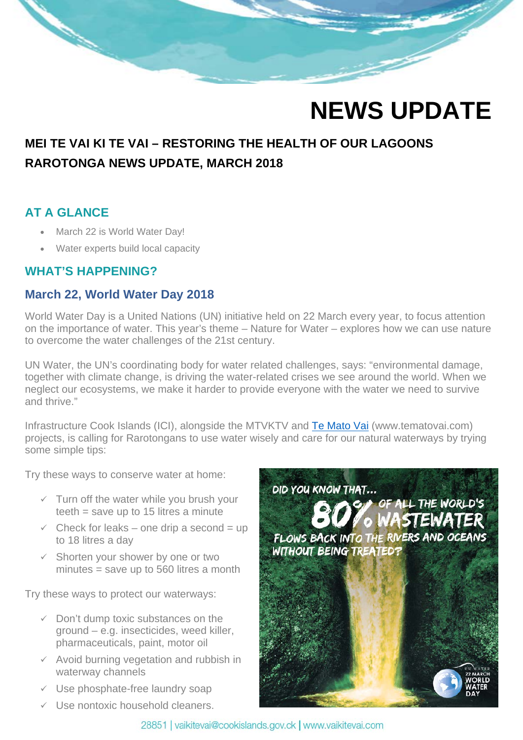# **NEWS UPDATE**

# **MEI TE VAI KI TE VAI – RESTORING THE HEALTH OF OUR LAGOONS RAROTONGA NEWS UPDATE, MARCH 2018**

## **AT A GLANCE**

**Contract of the Contract of the Contract of the Contract of the Contract of the Contract of the Contract of the Contract of the Contract of the Contract of the Contract of the Contract of the Contract of the Contract of t** 

- March 22 is World Water Day!
- Water experts build local capacity

#### **WHAT'S HAPPENING?**

#### **March 22, World Water Day 2018**

World Water Day is a United Nations (UN) initiative held on 22 March every year, to focus attention on the importance of water. This year's theme – Nature for Water – explores how we can use nature to overcome the water challenges of the 21st century.

UN Water, the UN's coordinating body for water related challenges, says: "environmental damage, together with climate change, is driving the water-related crises we see around the world. When we neglect our ecosystems, we make it harder to provide everyone with the water we need to survive and thrive."

Infrastructure Cook Islands (ICI), alongside the MTVKTV and [Te Mato Vai](https://www.tematovai.com/) (www.tematovai.com) projects, is calling for Rarotongans to use water wisely and care for our natural waterways by trying some simple tips:

Try these ways to conserve water at home:

- $\checkmark$  Turn off the water while you brush your teeth = save up to 15 litres a minute
- $\checkmark$  Check for leaks one drip a second = up to 18 litres a day
- $\checkmark$  Shorten your shower by one or two minutes = save up to 560 litres a month

Try these ways to protect our waterways:

- $\checkmark$  Don't dump toxic substances on the ground – e.g. insecticides, weed killer, pharmaceuticals, paint, motor oil
- $\checkmark$  Avoid burning vegetation and rubbish in waterway channels
- $\checkmark$  Use phosphate-free laundry soap
- $\checkmark$  Use nontoxic household cleaners.